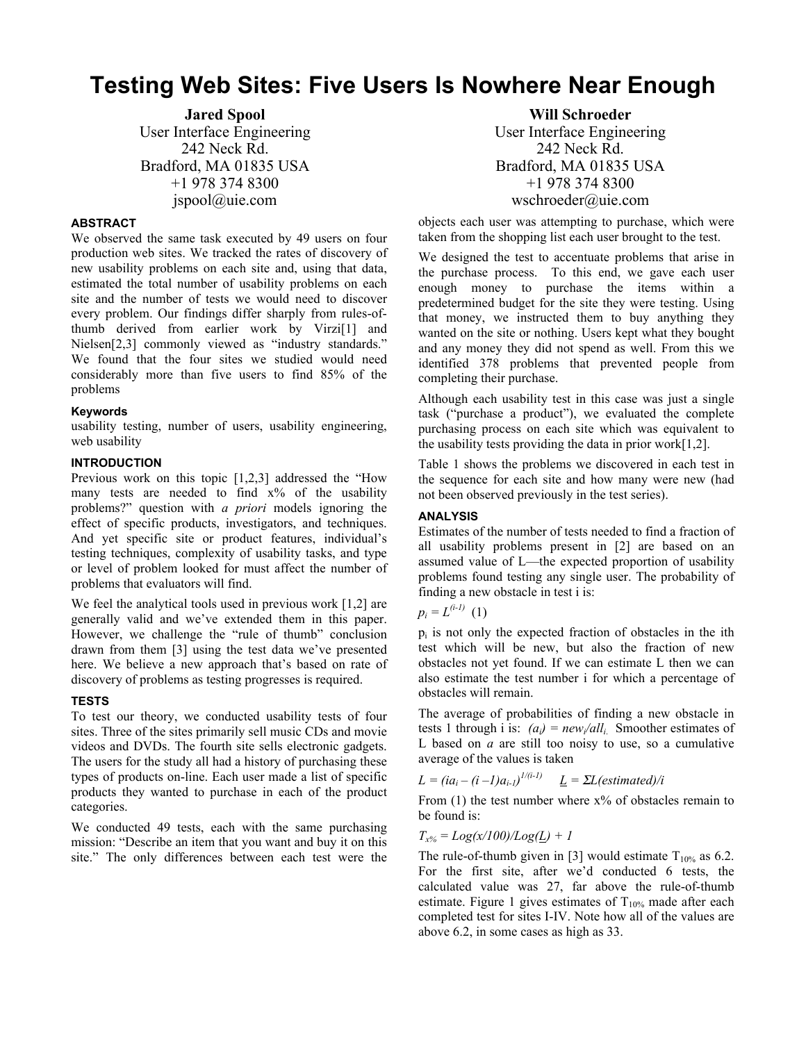# **Testing Web Sites: Five Users Is Nowhere Near Enough**

**Jared Spool**  User Interface Engineering 242 Neck Rd. Bradford, MA 01835 USA +1 978 374 8300 jspool@uie.com

# **ABSTRACT**

We observed the same task executed by 49 users on four production web sites. We tracked the rates of discovery of new usability problems on each site and, using that data, estimated the total number of usability problems on each site and the number of tests we would need to discover every problem. Our findings differ sharply from rules-ofthumb derived from earlier work by Virzi[1] and Nielsen[2,3] commonly viewed as "industry standards." We found that the four sites we studied would need considerably more than five users to find 85% of the problems

# **Keywords**

usability testing, number of users, usability engineering, web usability

# **INTRODUCTION**

Previous work on this topic [1,2,3] addressed the "How many tests are needed to find  $x\%$  of the usability problems?" question with *a priori* models ignoring the effect of specific products, investigators, and techniques. And yet specific site or product features, individual's testing techniques, complexity of usability tasks, and type or level of problem looked for must affect the number of problems that evaluators will find.

We feel the analytical tools used in previous work [1,2] are generally valid and we've extended them in this paper. However, we challenge the "rule of thumb" conclusion drawn from them [3] using the test data we've presented here. We believe a new approach that's based on rate of discovery of problems as testing progresses is required.

#### **TESTS**

To test our theory, we conducted usability tests of four sites. Three of the sites primarily sell music CDs and movie videos and DVDs. The fourth site sells electronic gadgets. The users for the study all had a history of purchasing these types of products on-line. Each user made a list of specific products they wanted to purchase in each of the product categories.

We conducted 49 tests, each with the same purchasing mission: "Describe an item that you want and buy it on this site." The only differences between each test were the

**Will Schroeder** 

User Interface Engineering 242 Neck Rd. Bradford, MA 01835 USA +1 978 374 8300 wschroeder@uie.com

objects each user was attempting to purchase, which were taken from the shopping list each user brought to the test.

We designed the test to accentuate problems that arise in the purchase process. To this end, we gave each user enough money to purchase the items within a predetermined budget for the site they were testing. Using that money, we instructed them to buy anything they wanted on the site or nothing. Users kept what they bought and any money they did not spend as well. From this we identified 378 problems that prevented people from completing their purchase.

Although each usability test in this case was just a single task ("purchase a product"), we evaluated the complete purchasing process on each site which was equivalent to the usability tests providing the data in prior work[1,2].

Table 1 shows the problems we discovered in each test in the sequence for each site and how many were new (had not been observed previously in the test series).

# **ANALYSIS**

Estimates of the number of tests needed to find a fraction of all usability problems present in [2] are based on an assumed value of L—the expected proportion of usability problems found testing any single user. The probability of finding a new obstacle in test i is:

 $p_i = L^{(i-l)}$  (1)

 $p_i$  is not only the expected fraction of obstacles in the ith test which will be new, but also the fraction of new obstacles not yet found. If we can estimate L then we can also estimate the test number i for which a percentage of obstacles will remain.

The average of probabilities of finding a new obstacle in tests 1 through i is:  $(a_i) = new_i/all_i$  Smoother estimates of L based on *a* are still too noisy to use, so a cumulative average of the values is taken

 $L = (ia_i - (i - l)a_{i-l})^{l/(i-l)}$   $\underline{L} = \Sigma L(estimated)/i$ 

From  $(1)$  the test number where  $x\%$  of obstacles remain to be found is:

#### $T_{x\%} = Log(x/100)/Log(L) + 1$

The rule-of-thumb given in [3] would estimate  $T_{10\%}$  as 6.2. For the first site, after we'd conducted 6 tests, the calculated value was 27, far above the rule-of-thumb estimate. Figure 1 gives estimates of  $T_{10\%}$  made after each completed test for sites I-IV. Note how all of the values are above 6.2, in some cases as high as 33.